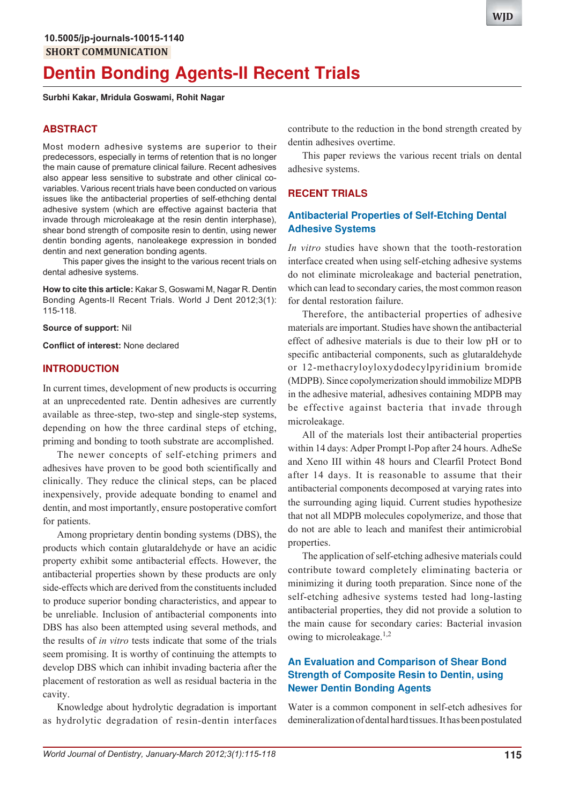# **Dentin Bonding Agents-II Recent Trials**

**Surbhi Kakar, Mridula Goswami, Rohit Nagar**

## **ABSTRACT**

Most modern adhesive systems are superior to their predecessors, especially in terms of retention that is no longer the main cause of premature clinical failure. Recent adhesives also appear less sensitive to substrate and other clinical covariables. Various recent trials have been conducted on various issues like the antibacterial properties of self-ethching dental adhesive system (which are effective against bacteria that invade through microleakage at the resin dentin interphase), shear bond strength of composite resin to dentin, using newer dentin bonding agents, nanoleakege expression in bonded dentin and next generation bonding agents.

This paper gives the insight to the various recent trials on dental adhesive systems.

**How to cite this article:** Kakar S, Goswami M, Nagar R. Dentin Bonding Agents-II Recent Trials. World J Dent 2012;3(1): 115-118.

**Source of support:** Nil

**Conflict of interest:** None declared

#### **INTRODUCTION**

In current times, development of new products is occurring at an unprecedented rate. Dentin adhesives are currently available as three-step, two-step and single-step systems, depending on how the three cardinal steps of etching, priming and bonding to tooth substrate are accomplished.

The newer concepts of self-etching primers and adhesives have proven to be good both scientifically and clinically. They reduce the clinical steps, can be placed inexpensively, provide adequate bonding to enamel and dentin, and most importantly, ensure postoperative comfort for patients.

Among proprietary dentin bonding systems (DBS), the products which contain glutaraldehyde or have an acidic property exhibit some antibacterial effects. However, the antibacterial properties shown by these products are only side-effects which are derived from the constituents included to produce superior bonding characteristics, and appear to be unreliable. Inclusion of antibacterial components into DBS has also been attempted using several methods, and the results of *in vitro* tests indicate that some of the trials seem promising. It is worthy of continuing the attempts to develop DBS which can inhibit invading bacteria after the placement of restoration as well as residual bacteria in the cavity.

Knowledge about hydrolytic degradation is important as hydrolytic degradation of resin-dentin interfaces

contribute to the reduction in the bond strength created by dentin adhesives overtime.

This paper reviews the various recent trials on dental adhesive systems.

#### **RECENT TRIALS**

# **Antibacterial Properties of Self-Etching Dental Adhesive Systems**

*In vitro* studies have shown that the tooth-restoration interface created when using self-etching adhesive systems do not eliminate microleakage and bacterial penetration, which can lead to secondary caries, the most common reason for dental restoration failure.

Therefore, the antibacterial properties of adhesive materials are important. Studies have shown the antibacterial effect of adhesive materials is due to their low pH or to specific antibacterial components, such as glutaraldehyde or 12-methacryloyloxydodecylpyridinium bromide (MDPB). Since copolymerization should immobilize MDPB in the adhesive material, adhesives containing MDPB may be effective against bacteria that invade through microleakage.

All of the materials lost their antibacterial properties within 14 days: Adper Prompt l-Pop after 24 hours. AdheSe and Xeno III within 48 hours and Clearfil Protect Bond after 14 days. It is reasonable to assume that their antibacterial components decomposed at varying rates into the surrounding aging liquid. Current studies hypothesize that not all MDPB molecules copolymerize, and those that do not are able to leach and manifest their antimicrobial properties.

The application of self-etching adhesive materials could contribute toward completely eliminating bacteria or minimizing it during tooth preparation. Since none of the self-etching adhesive systems tested had long-lasting antibacterial properties, they did not provide a solution to the main cause for secondary caries: Bacterial invasion owing to microleakage. $1,2$ 

# **An Evaluation and Comparison of Shear Bond Strength of Composite Resin to Dentin, using Newer Dentin Bonding Agents**

Water is a common component in self-etch adhesives for demineralization of dental hard tissues. It has been postulated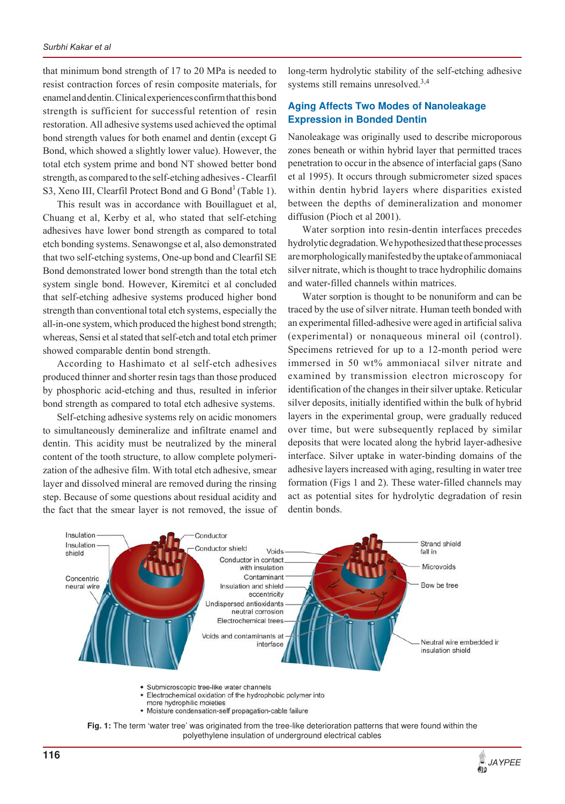that minimum bond strength of 17 to 20 MPa is needed to resist contraction forces of resin composite materials, for enamel and dentin. Clinical experiences confirm that this bond strength is sufficient for successful retention of resin restoration. All adhesive systems used achieved the optimal bond strength values for both enamel and dentin (except G Bond, which showed a slightly lower value). However, the total etch system prime and bond NT showed better bond strength, as compared to the self-etching adhesives - Clearfil S3, Xeno III, Clearfil Protect Bond and G Bond<sup>1</sup> (Table 1).

This result was in accordance with Bouillaguet et al, Chuang et al, Kerby et al, who stated that self-etching adhesives have lower bond strength as compared to total etch bonding systems. Senawongse et al, also demonstrated that two self-etching systems, One-up bond and Clearfil SE Bond demonstrated lower bond strength than the total etch system single bond. However, Kiremitci et al concluded that self-etching adhesive systems produced higher bond strength than conventional total etch systems, especially the all-in-one system, which produced the highest bond strength; whereas, Sensi et al stated that self-etch and total etch primer showed comparable dentin bond strength.

According to Hashimato et al self-etch adhesives produced thinner and shorter resin tags than those produced by phosphoric acid-etching and thus, resulted in inferior bond strength as compared to total etch adhesive systems.

Self-etching adhesive systems rely on acidic monomers to simultaneously demineralize and infiltrate enamel and dentin. This acidity must be neutralized by the mineral content of the tooth structure, to allow complete polymerization of the adhesive film. With total etch adhesive, smear layer and dissolved mineral are removed during the rinsing step. Because of some questions about residual acidity and the fact that the smear layer is not removed, the issue of long-term hydrolytic stability of the self-etching adhesive systems still remains unresolved.<sup>3,4</sup>

#### **Aging Affects Two Modes of Nanoleakage Expression in Bonded Dentin**

Nanoleakage was originally used to describe microporous zones beneath or within hybrid layer that permitted traces penetration to occur in the absence of interfacial gaps (Sano et al 1995). It occurs through submicrometer sized spaces within dentin hybrid layers where disparities existed between the depths of demineralization and monomer diffusion (Pioch et al 2001).

Water sorption into resin-dentin interfaces precedes hydrolytic degradation. We hypothesized that these processes are morphologically manifested by the uptake of ammoniacal silver nitrate, which is thought to trace hydrophilic domains and water-filled channels within matrices.

Water sorption is thought to be nonuniform and can be traced by the use of silver nitrate. Human teeth bonded with an experimental filled-adhesive were aged in artificial saliva (experimental) or nonaqueous mineral oil (control). Specimens retrieved for up to a 12-month period were immersed in 50 wt% ammoniacal silver nitrate and examined by transmission electron microscopy for identification of the changes in their silver uptake. Reticular silver deposits, initially identified within the bulk of hybrid layers in the experimental group, were gradually reduced over time, but were subsequently replaced by similar deposits that were located along the hybrid layer-adhesive interface. Silver uptake in water-binding domains of the adhesive layers increased with aging, resulting in water tree formation (Figs 1 and 2). These water-filled channels may act as potential sites for hydrolytic degradation of resin dentin bonds.



- Electrochemical oxidation of the hydrophobic polymer into
- more hydrophilic mojeties • Moisture condensation-self propagation-cable failure
- **Fig. 1:** The term 'water tree' was originated from the tree-like deterioration patterns that were found within the polyethylene insulation of underground electrical cables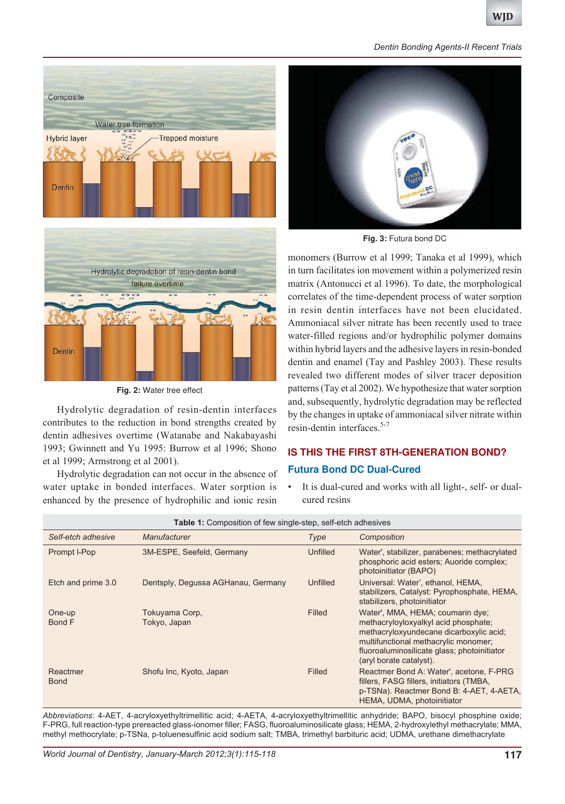



**Fig. 2:** Water tree effect

Hydrolytic degradation of resin-dentin interfaces contributes to the reduction in bond strengths created by dentin adhesives overtime (Watanabe and Nakabayashi 1993; Gwinnett and Yu 1995: Burrow et al 1996; Shono et al 1999; Armstrong et al 2001).

Hydrolytic degradation can not occur in the absence of water uptake in bonded interfaces. Water sorption is enhanced by the presence of hydrophilic and ionic resin



**Fig. 3:** Futura bond DC

monomers (Burrow et al 1999; Tanaka et al 1999), which in turn facilitates ion movement within a polymerized resin matrix (Antonucci et al 1996). To date, the morphological correlates of the time-dependent process of water sorption in resin dentin interfaces have not been elucidated. Ammoniacal silver nitrate has been recently used to trace water-filled regions and/or hydrophilic polymer domains within hybrid layers and the adhesive layers in resin-bonded dentin and enamel (Tay and Pashley 2003). These results revealed two different modes of silver tracer deposition patterns (Tay et al 2002). We hypothesize that water sorption and, subsequently, hydrolytic degradation may be reflected by the changes in uptake of ammoniacal silver nitrate within resin-dentin interfaces.5-7

# **IS THIS THE FIRST 8TH-GENERATION BOND? Futura Bond DC Dual-Cured**

• It is dual-cured and works with all light-, self- or dualcured resins

| <b>Table 1:</b> Composition of few single-step, self-etch adhesives |                                    |          |                                                                                                                                                                                                                                       |
|---------------------------------------------------------------------|------------------------------------|----------|---------------------------------------------------------------------------------------------------------------------------------------------------------------------------------------------------------------------------------------|
| Self-etch adhesive                                                  | Manufacturer                       | Type     | Composition                                                                                                                                                                                                                           |
| Prompt I-Pop                                                        | 3M-ESPE, Seefeld, Germany          | Unfilled | Water', stabilizer, parabenes; methacrylated<br>phosphoric acid esters; Auoride complex;<br>photoinitiator (BAPO)                                                                                                                     |
| Etch and prime 3.0                                                  | Dentsply, Degussa AGHanau, Germany | Unfilled | Universal: Water', ethanol, HEMA,<br>stabilizers, Catalyst: Pyrophosphate, HEMA,<br>stabilizers, photoinitiator                                                                                                                       |
| One-up<br><b>Bond F</b>                                             | Tokuyama Corp,<br>Tokyo, Japan     | Filled   | Water', MMA, HEMA; coumarin dye;<br>methacryloyloxyalkyl acid phosphate;<br>methacryloxyundecane dicarboxylic acid;<br>multifunctional methacrylic monomer;<br>fluoroaluminosilicate glass; photoinitiator<br>(aryl borate catalyst). |
| Reactmer<br><b>Bond</b>                                             | Shofu Inc, Kyoto, Japan            | Filled   | Reactmer Bond A: Water', acetone, F-PRG<br>fillers, FASG fillers, initiators (TMBA,<br>p-TSNa). Reactmer Bond B: 4-AET, 4-AETA,<br>HEMA, UDMA, photoinitiator                                                                         |

*Abbreviations*: 4-AET, 4-acryloxyethyltrimellitic acid; 4-AETA, 4-acryloxyethyltrimellitic anhydride; BAPO, bisocyl phosphine oxide; F-PRG, full reaction-type prereacted glass-ionomer filler; FASG, fluoroaluminosilicate glass; HEMA, 2-hydroxylethyl methacrylate; MMA, methyl methocrylate; p-TSNa, p-toluenesulfinic acid sodium salt; TMBA, trimethyl barbituric acid; UDMA, urethane dimethacrylate